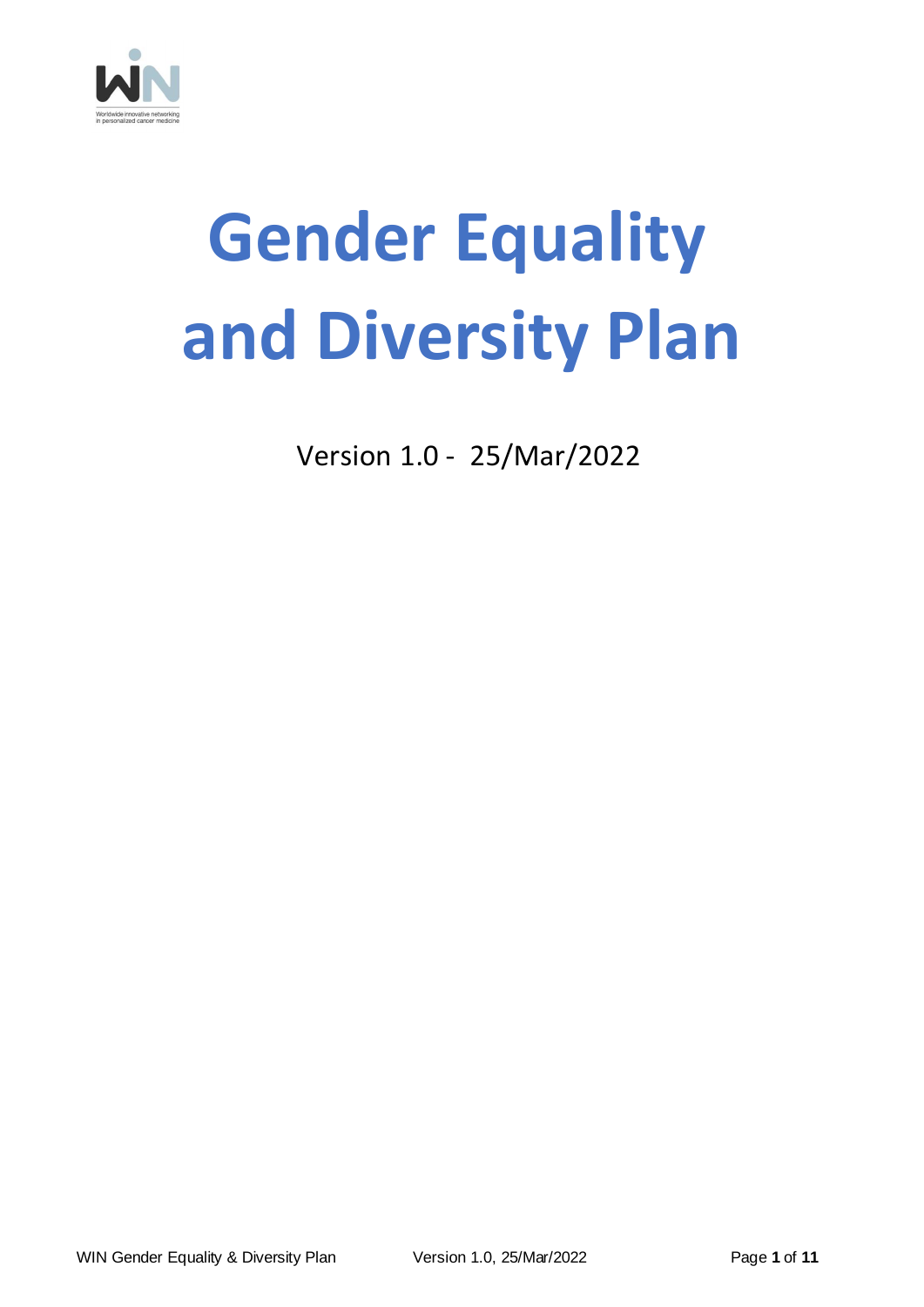

# **Gender Equality and Diversity Plan**

Version 1.0 - 25/Mar/2022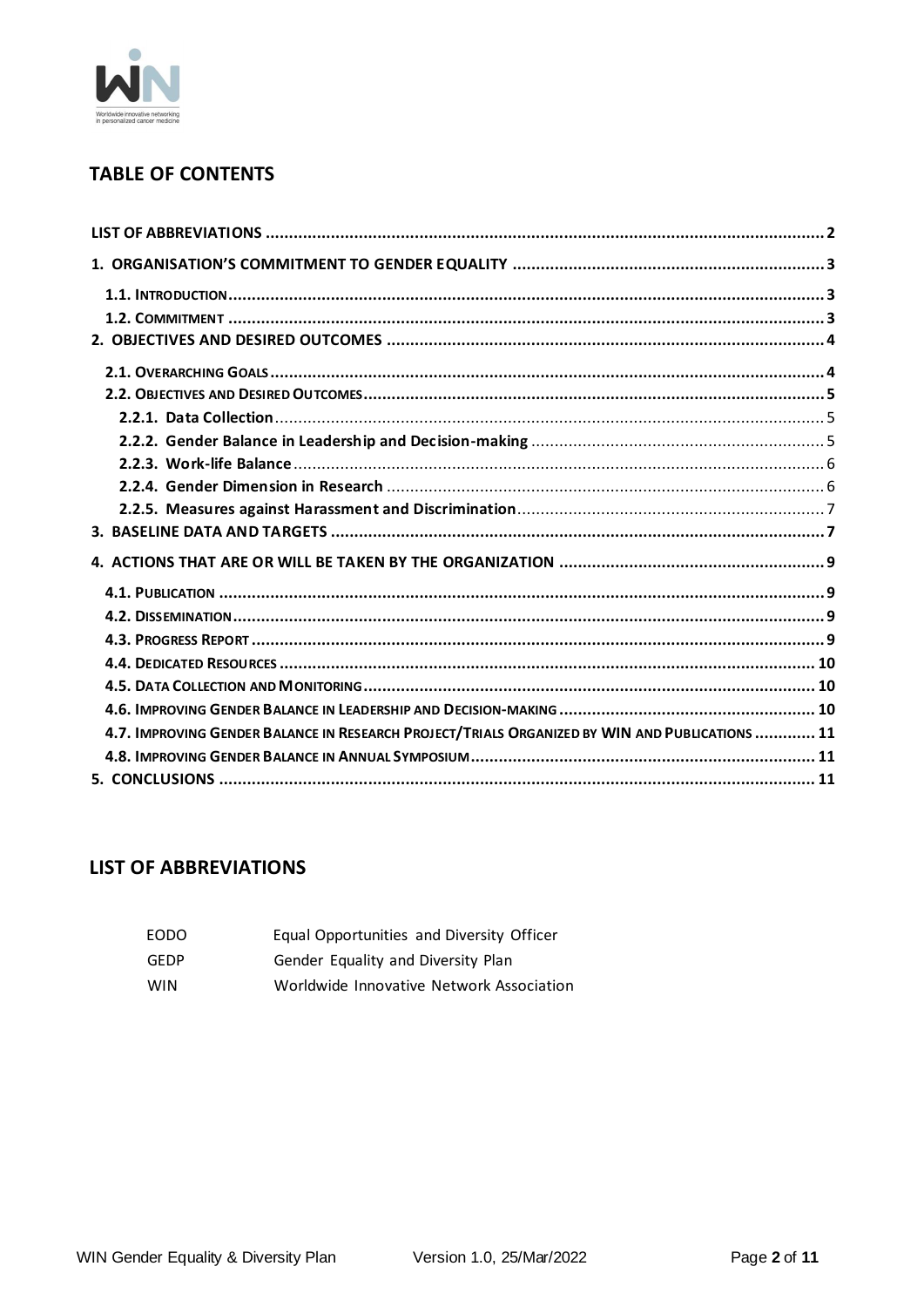

# **TABLE OF CONTENTS**

| 4.7. IMPROVING GENDER BALANCE IN RESEARCH PROJECT/TRIALS ORGANIZED BY WIN AND PUBLICATIONS  11 |  |
|------------------------------------------------------------------------------------------------|--|
|                                                                                                |  |
|                                                                                                |  |

# <span id="page-1-0"></span>**LIST OF ABBREVIATIONS**

| EODO | Equal Opportunities and Diversity Officer |
|------|-------------------------------------------|
| GEDP | Gender Equality and Diversity Plan        |
|      |                                           |

**WIN** Worldwide Innovative Network Association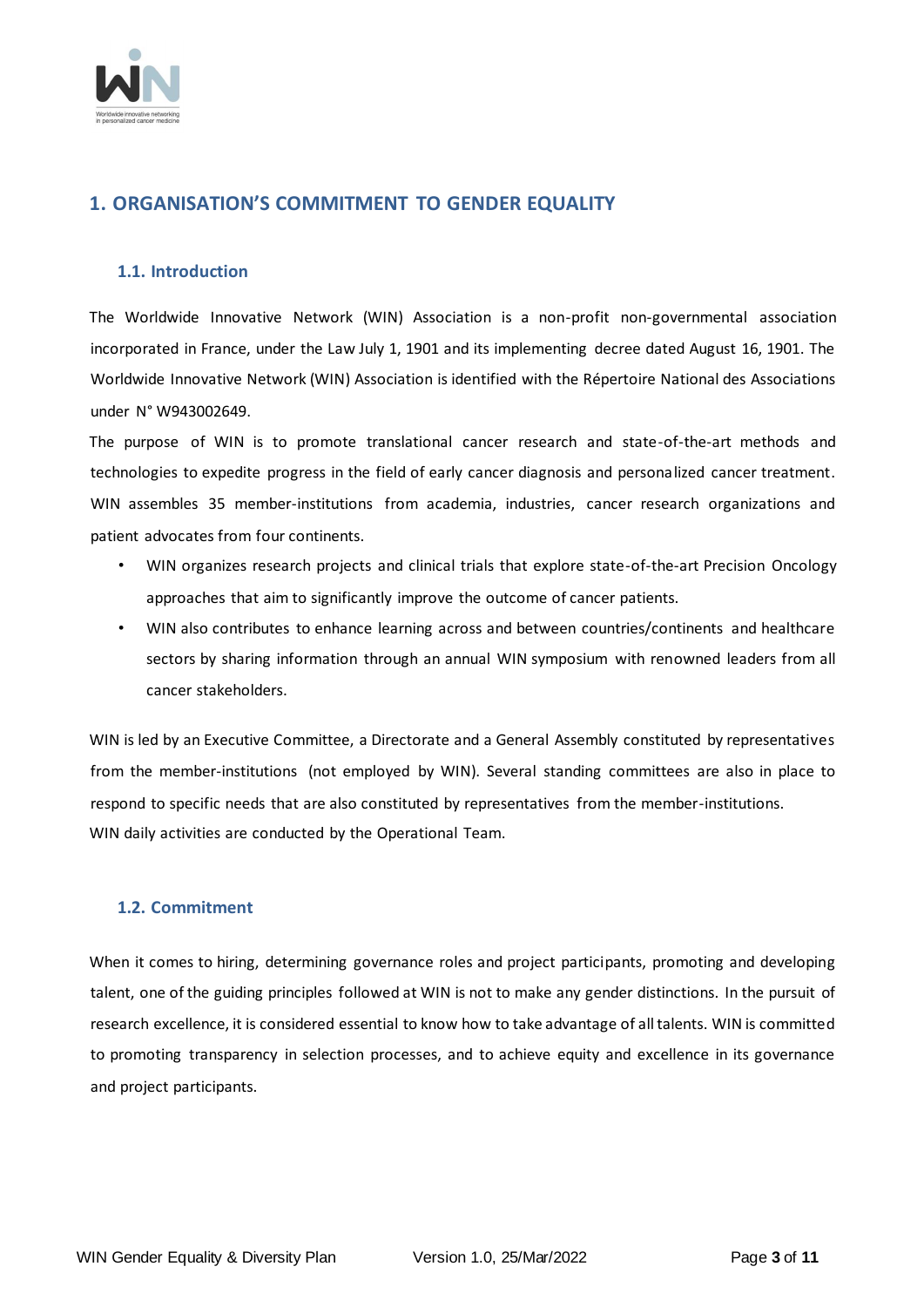

# <span id="page-2-0"></span>**1. ORGANISATION'S COMMITMENT TO GENDER EQUALITY**

### <span id="page-2-1"></span>**1.1. Introduction**

The Worldwide Innovative Network (WIN) Association is a non-profit non-governmental association incorporated in France, under the Law July 1, 1901 and its implementing decree dated August 16, 1901. The Worldwide Innovative Network (WIN) Association is identified with the Répertoire National des Associations under N° W943002649.

The purpose of WIN is to promote translational cancer research and state-of-the-art methods and technologies to expedite progress in the field of early cancer diagnosis and personalized cancer treatment. WIN assembles 35 member-institutions from academia, industries, cancer research organizations and patient advocates from four continents.

- WIN organizes research projects and clinical trials that explore state-of-the-art Precision Oncology approaches that aim to significantly improve the outcome of cancer patients.
- WIN also contributes to enhance learning across and between countries/continents and healthcare sectors by sharing information through an annual WIN symposium with renowned leaders from all cancer stakeholders.

WIN is led by an Executive Committee, a Directorate and a General Assembly constituted by representatives from the member-institutions (not employed by WIN). Several standing committees are also in place to respond to specific needs that are also constituted by representatives from the member-institutions. WIN daily activities are conducted by the Operational Team.

# <span id="page-2-2"></span>**1.2. Commitment**

When it comes to hiring, determining governance roles and project participants, promoting and developing talent, one of the guiding principles followed at WIN is not to make any gender distinctions. In the pursuit of research excellence, it is considered essential to know how to take advantage of all talents. WIN is committed to promoting transparency in selection processes, and to achieve equity and excellence in its governance and project participants.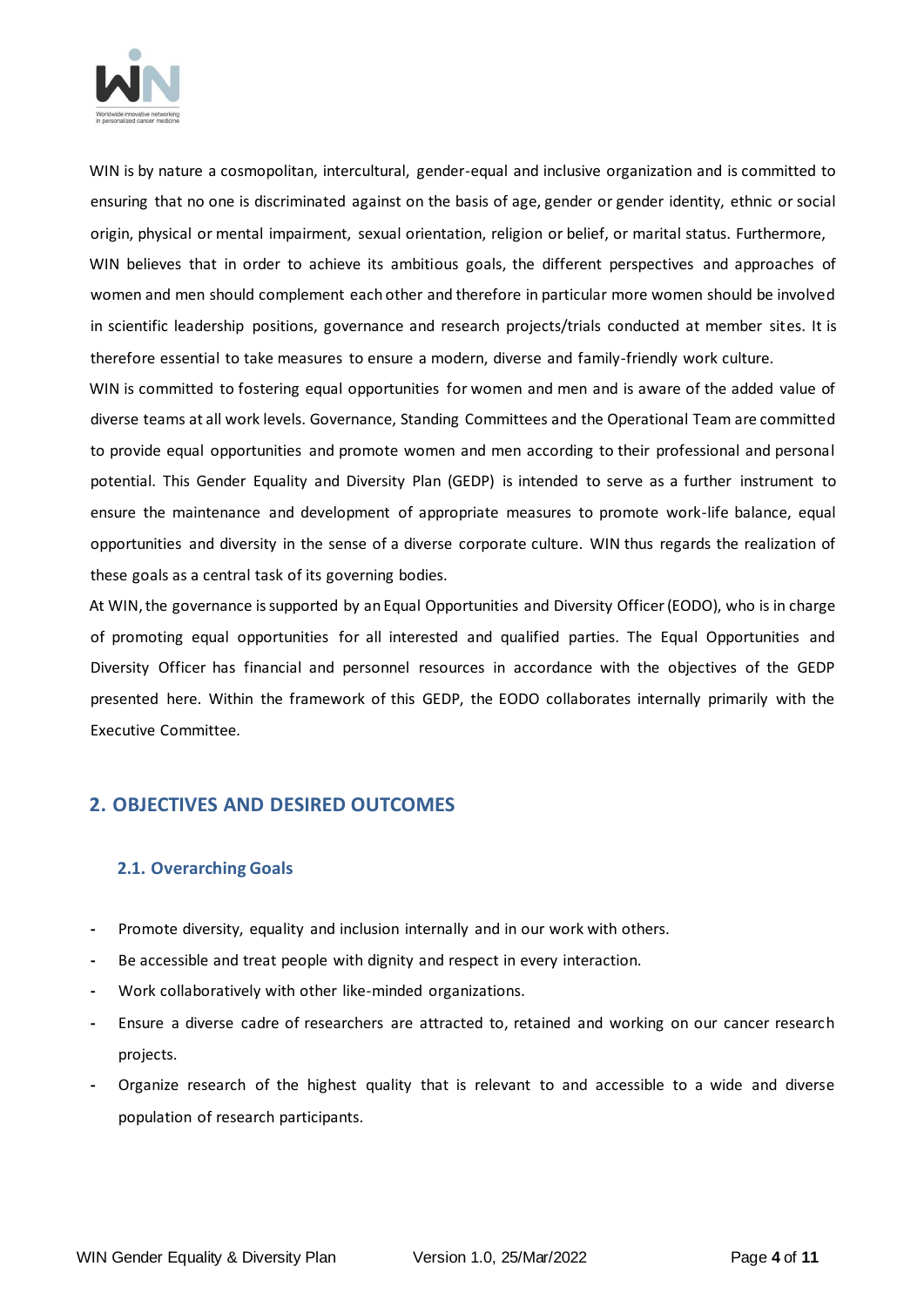

WIN is by nature a cosmopolitan, intercultural, gender-equal and inclusive organization and is committed to ensuring that no one is discriminated against on the basis of age, gender or gender identity, ethnic or social origin, physical or mental impairment, sexual orientation, religion or belief, or marital status. Furthermore, WIN believes that in order to achieve its ambitious goals, the different perspectives and approaches of

women and men should complement each other and therefore in particular more women should be involved in scientific leadership positions, governance and research projects/trials conducted at member sites. It is therefore essential to take measures to ensure a modern, diverse and family-friendly work culture.

WIN is committed to fostering equal opportunities for women and men and is aware of the added value of diverse teams at all work levels. Governance, Standing Committees and the Operational Team are committed to provide equal opportunities and promote women and men according to their professional and personal potential. This Gender Equality and Diversity Plan (GEDP) is intended to serve as a further instrument to ensure the maintenance and development of appropriate measures to promote work-life balance, equal opportunities and diversity in the sense of a diverse corporate culture. WIN thus regards the realization of these goals as a central task of its governing bodies.

At WIN, the governance is supported by an Equal Opportunities and Diversity Officer (EODO), who is in charge of promoting equal opportunities for all interested and qualified parties. The Equal Opportunities and Diversity Officer has financial and personnel resources in accordance with the objectives of the GEDP presented here. Within the framework of this GEDP, the EODO collaborates internally primarily with the Executive Committee*.*

# <span id="page-3-0"></span>**2. OBJECTIVES AND DESIRED OUTCOMES**

# <span id="page-3-1"></span>**2.1. Overarching Goals**

- **-** Promote diversity, equality and inclusion internally and in our work with others.
- **-** Be accessible and treat people with dignity and respect in every interaction.
- **-** Work collaboratively with other like-minded organizations.
- **-** Ensure a diverse cadre of researchers are attracted to, retained and working on our cancer research projects.
- **-** Organize research of the highest quality that is relevant to and accessible to a wide and diverse population of research participants.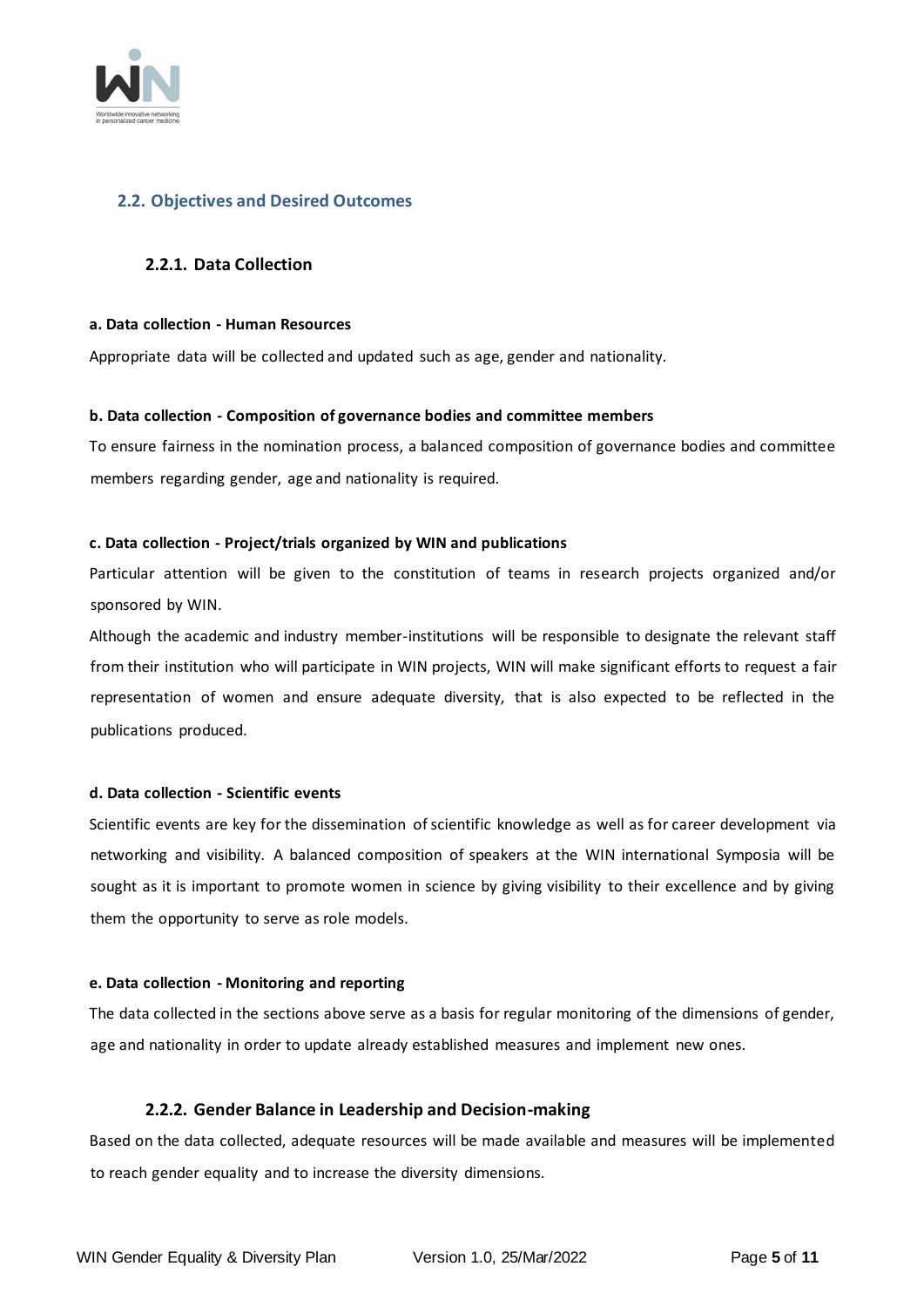

# <span id="page-4-0"></span>**2.2. Objectives and Desired Outcomes**

#### <span id="page-4-1"></span>**2.2.1. Data Collection**

#### **a. Data collection - Human Resources**

Appropriate data will be collected and updated such as age, gender and nationality.

#### **b. Data collection - Composition of governance bodies and committee members**

To ensure fairness in the nomination process, a balanced composition of governance bodies and committee members regarding gender, age and nationality is required.

#### **c. Data collection - Project/trials organized by WIN and publications**

Particular attention will be given to the constitution of teams in research projects organized and/or sponsored by WIN.

Although the academic and industry member-institutions will be responsible to designate the relevant staff from their institution who will participate in WIN projects, WIN will make significant efforts to request a fair representation of women and ensure adequate diversity, that is also expected to be reflected in the publications produced.

#### **d. Data collection - Scientific events**

Scientific events are key for the dissemination of scientific knowledge as well as for career development via networking and visibility. A balanced composition of speakers at the WIN international Symposia will be sought as it is important to promote women in science by giving visibility to their excellence and by giving them the opportunity to serve as role models.

#### **e. Data collection - Monitoring and reporting**

The data collected in the sections above serve as a basis for regular monitoring of the dimensions of gender, age and nationality in order to update already established measures and implement new ones.

#### **2.2.2. Gender Balance in Leadership and Decision-making**

<span id="page-4-2"></span>Based on the data collected, adequate resources will be made available and measures will be implemented to reach gender equality and to increase the diversity dimensions.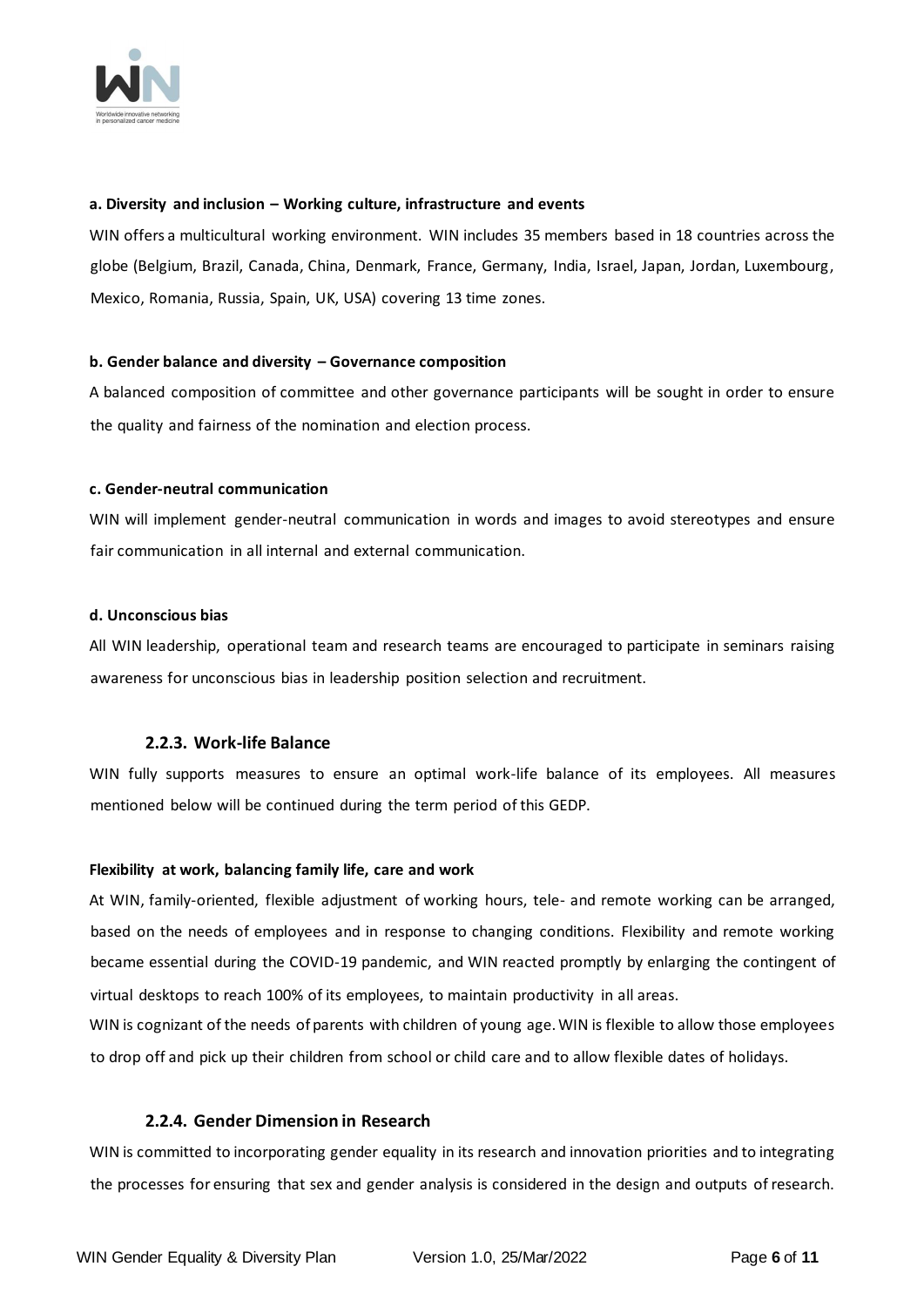

#### **a. Diversity and inclusion – Working culture, infrastructure and events**

WIN offers a multicultural working environment. WIN includes 35 members based in 18 countries across the globe (Belgium, Brazil, Canada, China, Denmark, France, Germany, India, Israel, Japan, Jordan, Luxembourg, Mexico, Romania, Russia, Spain, UK, USA) covering 13 time zones.

#### **b. Gender balance and diversity – Governance composition**

A balanced composition of committee and other governance participants will be sought in order to ensure the quality and fairness of the nomination and election process.

#### **c. Gender-neutral communication**

WIN will implement gender-neutral communication in words and images to avoid stereotypes and ensure fair communication in all internal and external communication.

#### **d. Unconscious bias**

All WIN leadership, operational team and research teams are encouraged to participate in seminars raising awareness for unconscious bias in leadership position selection and recruitment.

#### **2.2.3. Work-life Balance**

<span id="page-5-0"></span>WIN fully supports measures to ensure an optimal work-life balance of its employees. All measures mentioned below will be continued during the term period of this GEDP.

#### **Flexibility at work, balancing family life, care and work**

At WIN, family-oriented, flexible adjustment of working hours, tele- and remote working can be arranged, based on the needs of employees and in response to changing conditions. Flexibility and remote working became essential during the COVID-19 pandemic, and WIN reacted promptly by enlarging the contingent of virtual desktops to reach 100% of its employees, to maintain productivity in all areas.

WIN is cognizant of the needs of parents with children of young age. WIN is flexible to allow those employees to drop off and pick up their children from school or child care and to allow flexible dates of holidays.

#### **2.2.4. Gender Dimension in Research**

<span id="page-5-1"></span>WIN is committed to incorporating gender equality in its research and innovation priorities and to integrating the processes for ensuring that sex and gender analysis is considered in the design and outputs of research.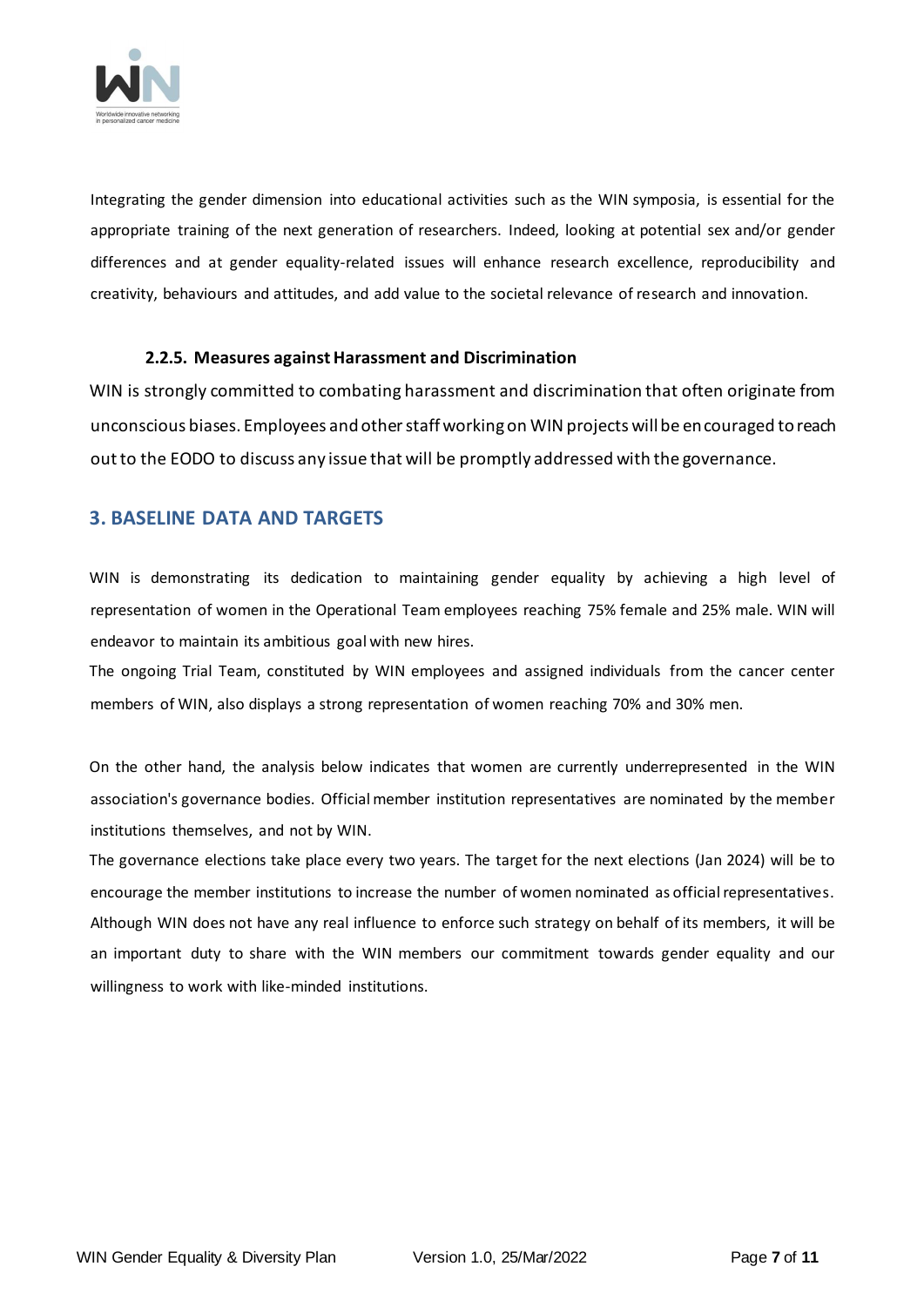

Integrating the gender dimension into educational activities such as the WIN symposia, is essential for the appropriate training of the next generation of researchers. Indeed, looking at potential sex and/or gender differences and at gender equality-related issues will enhance research excellence, reproducibility and creativity, behaviours and attitudes, and add value to the societal relevance of research and innovation.

#### **2.2.5. Measures against Harassment and Discrimination**

<span id="page-6-0"></span>WIN is strongly committed to combating harassment and discrimination that often originate from unconscious biases. Employees and other staff working on WIN projects will be encouraged to reach out to the EODO to discuss any issue that will be promptly addressed with the governance.

# <span id="page-6-1"></span>**3. BASELINE DATA AND TARGETS**

WIN is demonstrating its dedication to maintaining gender equality by achieving a high level of representation of women in the Operational Team employees reaching 75% female and 25% male. WIN will endeavor to maintain its ambitious goal with new hires.

The ongoing Trial Team, constituted by WIN employees and assigned individuals from the cancer center members of WIN, also displays a strong representation of women reaching 70% and 30% men.

On the other hand, the analysis below indicates that women are currently underrepresented in the WIN association's governance bodies. Official member institution representatives are nominated by the member institutions themselves, and not by WIN.

The governance elections take place every two years. The target for the next elections (Jan 2024) will be to encourage the member institutions to increase the number of women nominated as official representatives. Although WIN does not have any real influence to enforce such strategy on behalf of its members, it will be an important duty to share with the WIN members our commitment towards gender equality and our willingness to work with like-minded institutions.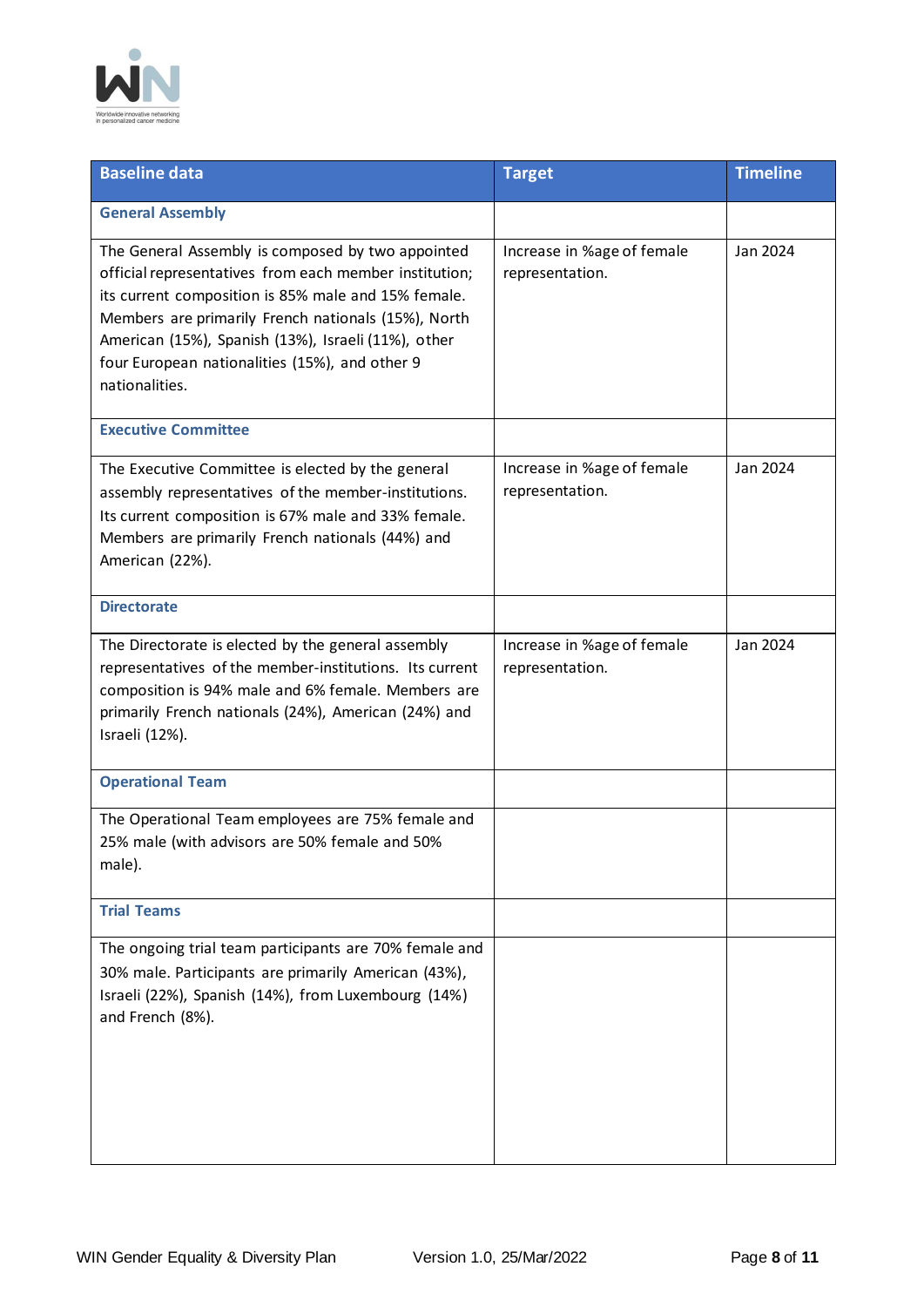

| <b>Baseline data</b>                                                                                                                                                                                                                                                                                                                                 | <b>Target</b>                                 | <b>Timeline</b> |
|------------------------------------------------------------------------------------------------------------------------------------------------------------------------------------------------------------------------------------------------------------------------------------------------------------------------------------------------------|-----------------------------------------------|-----------------|
| <b>General Assembly</b>                                                                                                                                                                                                                                                                                                                              |                                               |                 |
| The General Assembly is composed by two appointed<br>official representatives from each member institution;<br>its current composition is 85% male and 15% female.<br>Members are primarily French nationals (15%), North<br>American (15%), Spanish (13%), Israeli (11%), other<br>four European nationalities (15%), and other 9<br>nationalities. | Increase in %age of female<br>representation. | Jan 2024        |
| <b>Executive Committee</b>                                                                                                                                                                                                                                                                                                                           |                                               |                 |
| The Executive Committee is elected by the general<br>assembly representatives of the member-institutions.<br>Its current composition is 67% male and 33% female.<br>Members are primarily French nationals (44%) and<br>American (22%).                                                                                                              | Increase in %age of female<br>representation. | Jan 2024        |
| <b>Directorate</b>                                                                                                                                                                                                                                                                                                                                   |                                               |                 |
| The Directorate is elected by the general assembly<br>representatives of the member-institutions. Its current<br>composition is 94% male and 6% female. Members are<br>primarily French nationals (24%), American (24%) and<br>Israeli (12%).                                                                                                        | Increase in %age of female<br>representation. | Jan 2024        |
| <b>Operational Team</b>                                                                                                                                                                                                                                                                                                                              |                                               |                 |
| The Operational Team employees are 75% female and<br>25% male (with advisors are 50% female and 50%<br>male).                                                                                                                                                                                                                                        |                                               |                 |
| <b>Trial Teams</b>                                                                                                                                                                                                                                                                                                                                   |                                               |                 |
| The ongoing trial team participants are 70% female and<br>30% male. Participants are primarily American (43%),<br>Israeli (22%), Spanish (14%), from Luxembourg (14%)<br>and French (8%).                                                                                                                                                            |                                               |                 |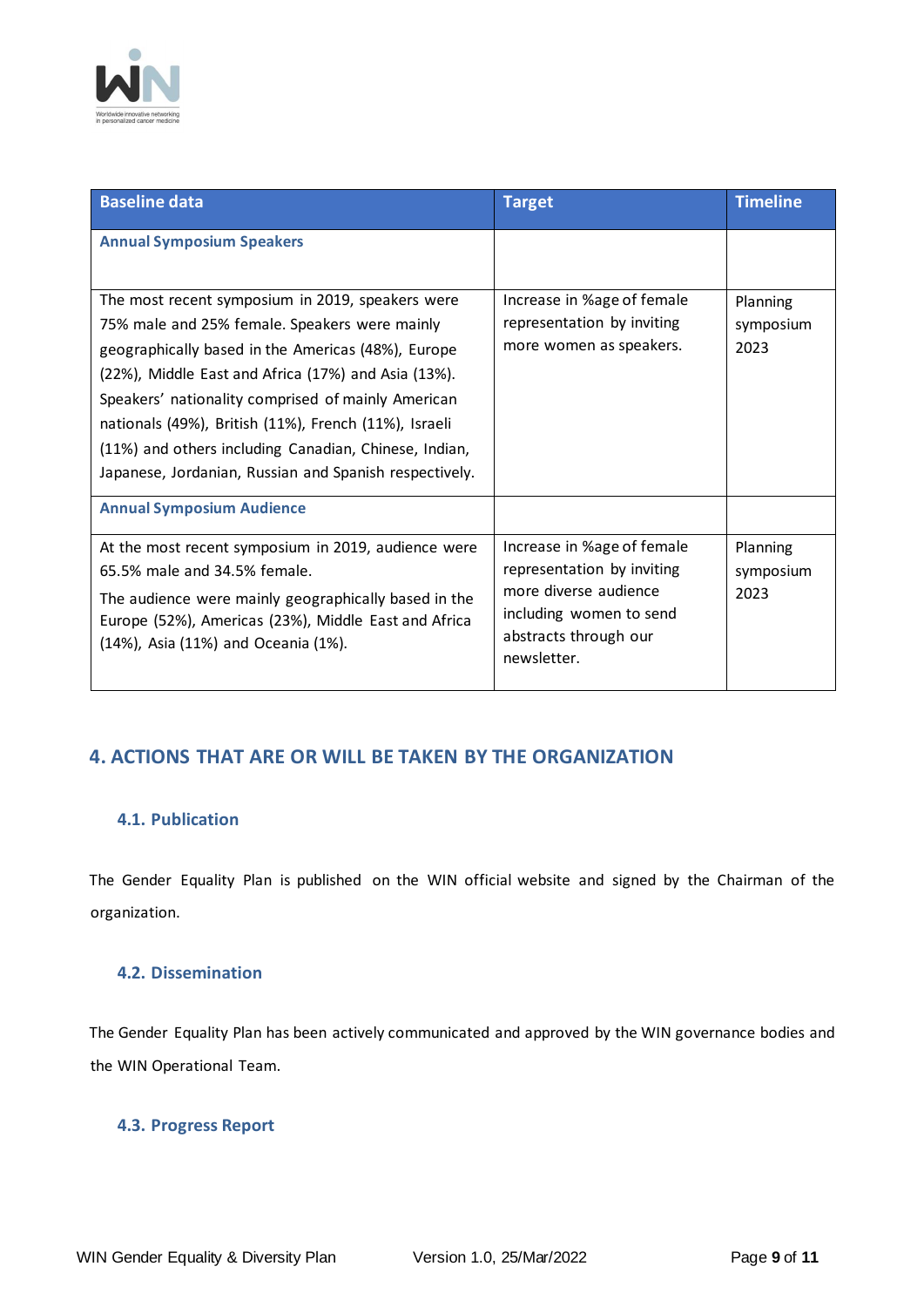

| <b>Baseline data</b>                                                                                                                                                                                                                                                                                                                                                                                                                             | <b>Target</b>                                                                                                                                        | <b>Timeline</b>               |
|--------------------------------------------------------------------------------------------------------------------------------------------------------------------------------------------------------------------------------------------------------------------------------------------------------------------------------------------------------------------------------------------------------------------------------------------------|------------------------------------------------------------------------------------------------------------------------------------------------------|-------------------------------|
| <b>Annual Symposium Speakers</b>                                                                                                                                                                                                                                                                                                                                                                                                                 |                                                                                                                                                      |                               |
| The most recent symposium in 2019, speakers were<br>75% male and 25% female. Speakers were mainly<br>geographically based in the Americas (48%), Europe<br>(22%), Middle East and Africa (17%) and Asia (13%).<br>Speakers' nationality comprised of mainly American<br>nationals (49%), British (11%), French (11%), Israeli<br>(11%) and others including Canadian, Chinese, Indian,<br>Japanese, Jordanian, Russian and Spanish respectively. | Increase in %age of female<br>representation by inviting<br>more women as speakers.                                                                  | Planning<br>symposium<br>2023 |
| <b>Annual Symposium Audience</b>                                                                                                                                                                                                                                                                                                                                                                                                                 |                                                                                                                                                      |                               |
| At the most recent symposium in 2019, audience were<br>65.5% male and 34.5% female.<br>The audience were mainly geographically based in the<br>Europe (52%), Americas (23%), Middle East and Africa<br>(14%), Asia (11%) and Oceania (1%).                                                                                                                                                                                                       | Increase in %age of female<br>representation by inviting<br>more diverse audience<br>including women to send<br>abstracts through our<br>newsletter. | Planning<br>symposium<br>2023 |

# <span id="page-8-0"></span>**4. ACTIONS THAT ARE OR WILL BE TAKEN BY THE ORGANIZATION**

# <span id="page-8-1"></span>**4.1. Publication**

The Gender Equality Plan is published on the WIN official website and signed by the Chairman of the organization.

# <span id="page-8-2"></span>**4.2. Dissemination**

The Gender Equality Plan has been actively communicated and approved by the WIN governance bodies and the WIN Operational Team.

# <span id="page-8-3"></span>**4.3. Progress Report**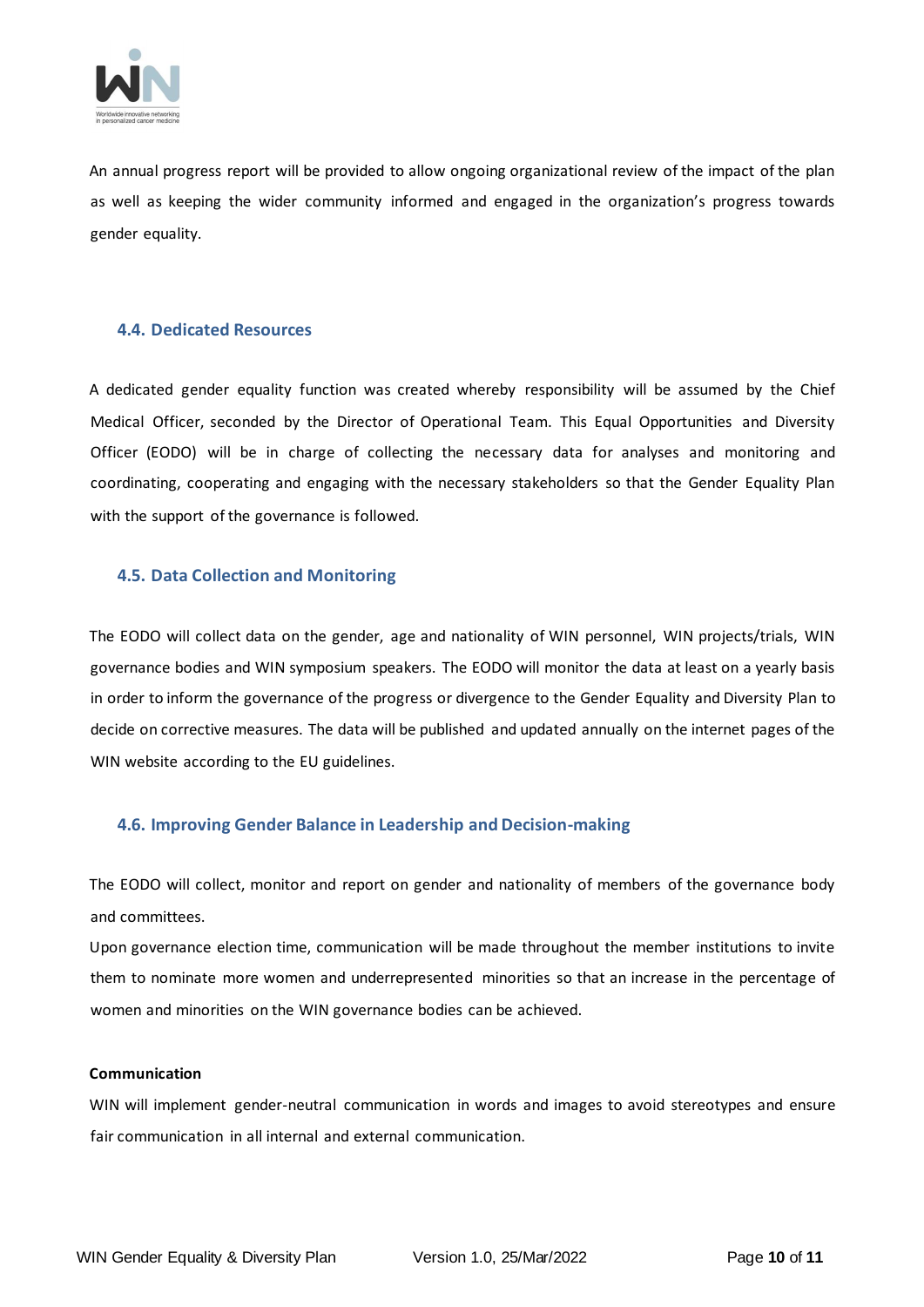

An annual progress report will be provided to allow ongoing organizational review of the impact of the plan as well as keeping the wider community informed and engaged in the organization's progress towards gender equality.

#### <span id="page-9-0"></span>**4.4. Dedicated Resources**

A dedicated gender equality function was created whereby responsibility will be assumed by the Chief Medical Officer, seconded by the Director of Operational Team. This Equal Opportunities and Diversity Officer (EODO) will be in charge of collecting the necessary data for analyses and monitoring and coordinating, cooperating and engaging with the necessary stakeholders so that the Gender Equality Plan with the support of the governance is followed.

#### <span id="page-9-1"></span>**4.5. Data Collection and Monitoring**

The EODO will collect data on the gender, age and nationality of WIN personnel, WIN projects/trials, WIN governance bodies and WIN symposium speakers. The EODO will monitor the data at least on a yearly basis in order to inform the governance of the progress or divergence to the Gender Equality and Diversity Plan to decide on corrective measures. The data will be published and updated annually on the internet pages of the WIN website according to the EU guidelines.

# <span id="page-9-2"></span>**4.6. Improving Gender Balance in Leadership and Decision-making**

The EODO will collect, monitor and report on gender and nationality of members of the governance body and committees.

Upon governance election time, communication will be made throughout the member institutions to invite them to nominate more women and underrepresented minorities so that an increase in the percentage of women and minorities on the WIN governance bodies can be achieved.

#### **Communication**

WIN will implement gender-neutral communication in words and images to avoid stereotypes and ensure fair communication in all internal and external communication.